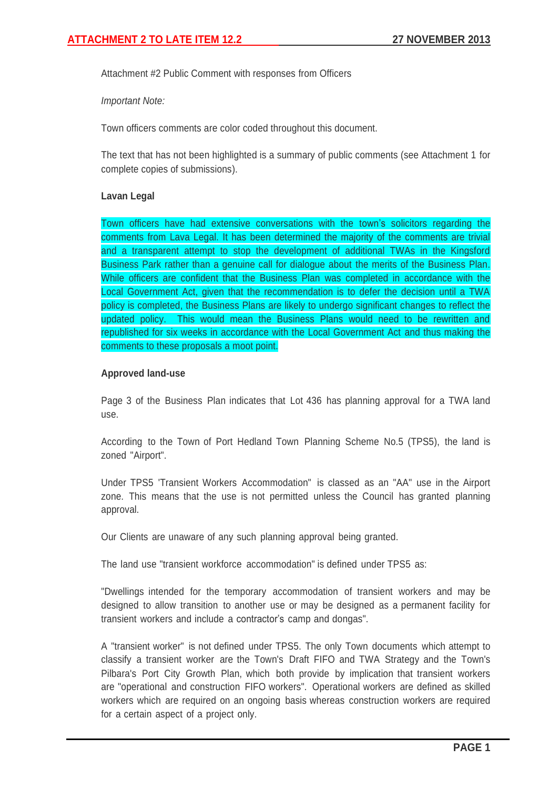Attachment #2 Public Comment with responses from Officers

*Important Note:*

Town officers comments are color coded throughout this document.

The text that has not been highlighted is a summary of public comments (see Attachment 1 for complete copies of submissions).

## **Lavan Legal**

Town officers have had extensive conversations with the town's solicitors regarding the comments from Lava Legal. It has been determined the majority of the comments are trivial and a transparent attempt to stop the development of additional TWAs in the Kingsford Business Park rather than a genuine call for dialogue about the merits of the Business Plan. While officers are confident that the Business Plan was completed in accordance with the Local Government Act, given that the recommendation is to defer the decision until a TWA policy is completed, the Business Plans are likely to undergo significant changes to reflect the updated policy. This would mean the Business Plans would need to be rewritten and republished for six weeks in accordance with the Local Government Act and thus making the comments to these proposals a moot point.

## **Approved land-use**

Page 3 of the Business Plan indicates that Lot 436 has planning approval for a TWA land use.

According to the Town of Port Hedland Town Planning Scheme No.5 (TPS5), the land is zoned "Airport".

Under TPS5 'Transient Workers Accommodation" is classed as an "AA" use in the Airport zone. This means that the use is not permitted unless the Council has granted planning approval.

Our Clients are unaware of any such planning approval being granted.

The land use "transient workforce accommodation" is defined under TPS5 as:

"Dwellings intended for the temporary accommodation of transient workers and may be designed to allow transition to another use or may be designed as a permanent facility for transient workers and include a contractor's camp and dongas".

A "transient worker" is not defined under TPS5. The only Town documents which attempt to classify a transient worker are the Town's Draft FIFO and TWA Strategy and the Town's Pilbara's Port City Growth Plan, which both provide by implication that transient workers are "operational and construction FIFO workers". Operational workers are defined as skilled workers which are required on an ongoing basis whereas construction workers are required for a certain aspect of a project only.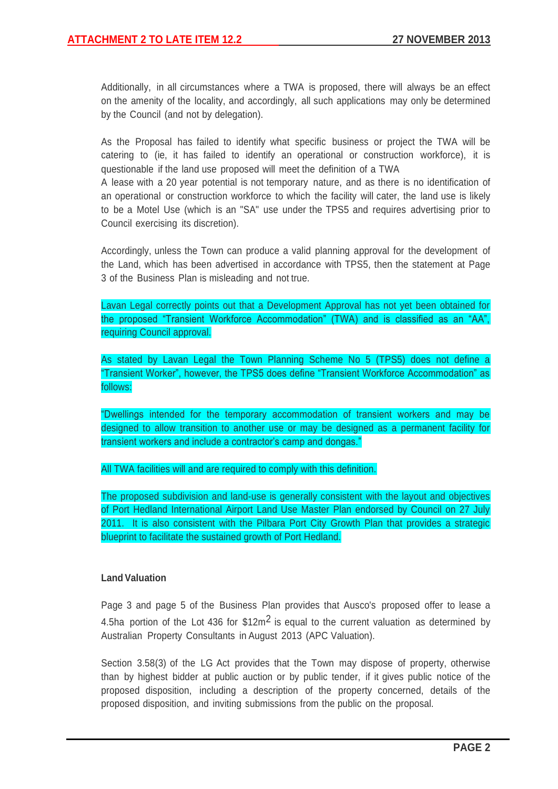Additionally, in all circumstances where a TWA is proposed, there will always be an effect on the amenity of the locality, and accordingly, all such applications may only be determined by the Council (and not by delegation).

As the Proposal has failed to identify what specific business or project the TWA will be catering to (ie, it has failed to identify an operational or construction workforce), it is questionable if the land use proposed will meet the definition of a TWA

A lease with a 20 year potential is not temporary nature, and as there is no identification of an operational or construction workforce to which the facility will cater, the land use is likely to be a Motel Use (which is an "SA" use under the TPS5 and requires advertising prior to Council exercising its discretion).

Accordingly, unless the Town can produce a valid planning approval for the development of the Land, which has been advertised in accordance with TPS5, then the statement at Page 3 of the Business Plan is misleading and not true.

Lavan Legal correctly points out that a Development Approval has not yet been obtained for the proposed "Transient Workforce Accommodation" (TWA) and is classified as an "AA", requiring Council approval.

As stated by Lavan Legal the Town Planning Scheme No 5 (TPS5) does not define a "Transient Worker", however, the TPS5 does define "Transient Workforce Accommodation" as follows:

"Dwellings intended for the temporary accommodation of transient workers and may be designed to allow transition to another use or may be designed as a permanent facility for transient workers and include a contractor's camp and dongas."

# All TWA facilities will and are required to comply with this definition.

The proposed subdivision and land-use is generally consistent with the layout and objectives of Port Hedland International Airport Land Use Master Plan endorsed by Council on 27 July 2011. It is also consistent with the Pilbara Port City Growth Plan that provides a strategic blueprint to facilitate the sustained growth of Port Hedland.

# **Land Valuation**

Page 3 and page 5 of the Business Plan provides that Ausco's proposed offer to lease a 4.5ha portion of the Lot 436 for  $$12m<sup>2</sup>$  is equal to the current valuation as determined by Australian Property Consultants in August 2013 (APC Valuation).

Section 3.58(3) of the LG Act provides that the Town may dispose of property, otherwise than by highest bidder at public auction or by public tender, if it gives public notice of the proposed disposition, including a description of the property concerned, details of the proposed disposition, and inviting submissions from the public on the proposal.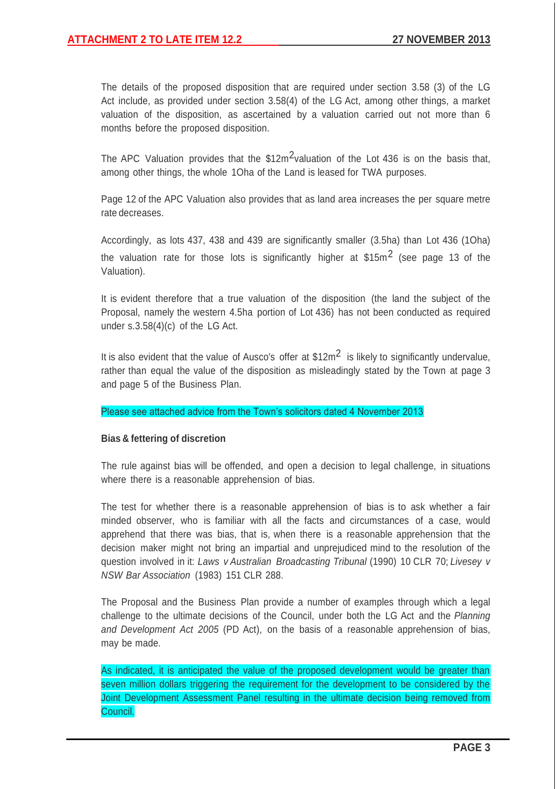The details of the proposed disposition that are required under section 3.58 (3) of the LG Act include, as provided under section 3.58(4) of the LG Act, among other things, a market valuation of the disposition, as ascertained by a valuation carried out not more than 6 months before the proposed disposition.

The APC Valuation provides that the  $$12m<sup>2</sup>$ valuation of the Lot 436 is on the basis that, among other things, the whole 1Oha of the Land is leased for TWA purposes.

Page 12 of the APC Valuation also provides that as land area increases the per square metre rate decreases.

Accordingly, as lots 437, 438 and 439 are significantly smaller (3.5ha) than Lot 436 (1Oha) the valuation rate for those lots is significantly higher at  $$15m<sup>2</sup>$  (see page 13 of the Valuation).

It is evident therefore that a true valuation of the disposition (the land the subject of the Proposal, namely the western 4.5ha portion of Lot 436) has not been conducted as required under s.3.58(4)(c) of the LG Act.

It is also evident that the value of Ausco's offer at  $$12m<sup>2</sup>$  is likely to significantly undervalue, rather than equal the value of the disposition as misleadingly stated by the Town at page 3 and page 5 of the Business Plan.

Please see attached advice from the Town's solicitors dated 4 November 2013

## **Bias & fettering of discretion**

The rule against bias will be offended, and open a decision to legal challenge, in situations where there is a reasonable apprehension of bias.

The test for whether there is a reasonable apprehension of bias is to ask whether a fair minded observer, who is familiar with all the facts and circumstances of a case, would apprehend that there was bias, that is, when there is a reasonable apprehension that the decision maker might not bring an impartial and unprejudiced mind to the resolution of the question involved in it: *Laws v Australian Broadcasting Tribunal* (1990) 10 CLR 70; *Livesey v NSW Bar Association* (1983) 151 CLR 288.

The Proposal and the Business Plan provide a number of examples through which a legal challenge to the ultimate decisions of the Council, under both the LG Act and the *Planning and Development Act 2005* (PD Act), on the basis of a reasonable apprehension of bias, may be made.

As indicated, it is anticipated the value of the proposed development would be greater than seven million dollars triggering the requirement for the development to be considered by the Joint Development Assessment Panel resulting in the ultimate decision being removed from Council.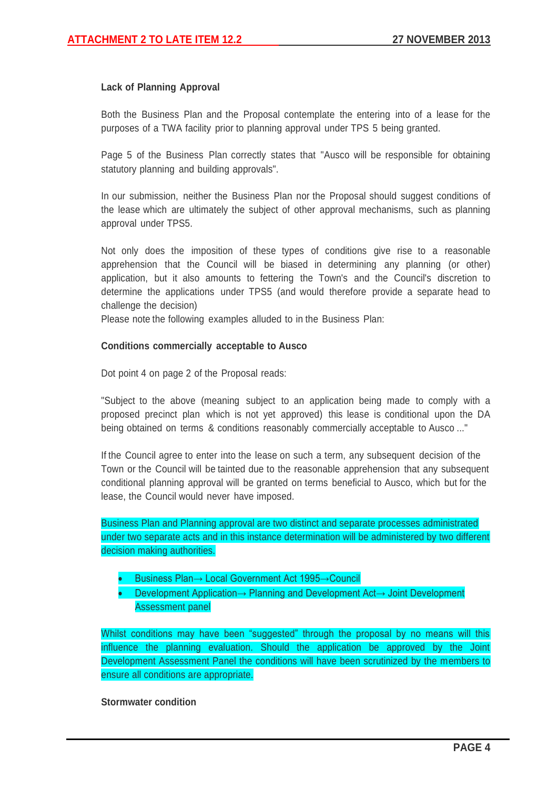## **Lack of Planning Approval**

Both the Business Plan and the Proposal contemplate the entering into of a lease for the purposes of a TWA facility prior to planning approval under TPS 5 being granted.

Page 5 of the Business Plan correctly states that "Ausco will be responsible for obtaining statutory planning and building approvals".

In our submission, neither the Business Plan nor the Proposal should suggest conditions of the lease which are ultimately the subject of other approval mechanisms, such as planning approval under TPS5.

Not only does the imposition of these types of conditions give rise to a reasonable apprehension that the Council will be biased in determining any planning (or other) application, but it also amounts to fettering the Town's and the Council's discretion to determine the applications under TPS5 (and would therefore provide a separate head to challenge the decision)

Please note the following examples alluded to in the Business Plan:

## **Conditions commercially acceptable to Ausco**

Dot point 4 on page 2 of the Proposal reads:

"Subject to the above (meaning subject to an application being made to comply with a proposed precinct plan which is not yet approved) this lease is conditional upon the DA being obtained on terms & conditions reasonably commercially acceptable to Ausco ..."

If the Council agree to enter into the lease on such a term, any subsequent decision of the Town or the Council will be tainted due to the reasonable apprehension that any subsequent conditional planning approval will be granted on terms beneficial to Ausco, which but for the lease, the Council would never have imposed.

Business Plan and Planning approval are two distinct and separate processes administrated under two separate acts and in this instance determination will be administered by two different decision making authorities.

- Business Plan→ Local Government Act 1995→Council
- Development Application→ Planning and Development Act→ Joint Development Assessment panel

Whilst conditions may have been "suggested" through the proposal by no means will this influence the planning evaluation. Should the application be approved by the Joint Development Assessment Panel the conditions will have been scrutinized by the members to ensure all conditions are appropriate.

## **Stormwater condition**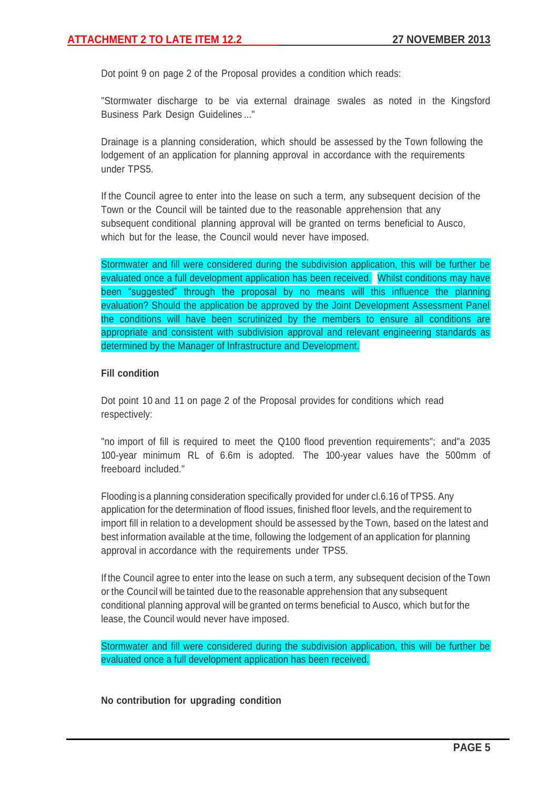Dot point 9 on page 2 of the Proposal provides a condition which reads:

"Stormwater discharge to be via external drainage swales as noted in the Kingsford Business Park Design Guidelines ..."

Drainage is a planning consideration, which should be assessed by the Town following the lodgement of an application for planning approval in accordance with the requirements under TPS5.

If the Council agree to enter into the lease on such a term, any subsequent decision of the Town or the Council will be tainted due to the reasonable apprehension that any subsequent conditional planning approval will be granted on terms beneficial to Ausco, which but for the lease, the Council would never have imposed.

Stormwater and fill were considered during the subdivision application, this will be further be evaluated once a full development application has been received. Whilst conditions may have been "suggested" through the proposal by no means will this influence the planning evaluation? Should the application be approved by the Joint Development Assessment Panel the conditions will have been scrutinized by the members to ensure all conditions are appropriate and consistent with subdivision approval and relevant engineering standards as determined by the Manager of Infrastructure and Development.

## **Fill condition**

Dot point 10 and 11 on page 2 of the Proposal provides for conditions which read respectively:

"no import of fill is required to meet the Q100 flood prevention requirements"; and"a 2035 100-year minimum RL of 6.6m is adopted. The 100-year values have the 500mm of freeboard included."

Flooding is a planning consideration specifically provided for under cl.6.16 of TPS5. Any application for the determination of flood issues, finished floor levels, and the requirement to import fill in relation to a development should be assessed by the Town, based on the latest and best information available at the time, following the lodgement of an application for planning approval in accordance with the requirements under TPS5.

If the Council agree to enter into the lease on such a term, any subsequent decision of the Town or the Council will be tainted due to the reasonable apprehension that any subsequent conditional planning approval will be granted on terms beneficial to Ausco, which but for the lease, the Council would never have imposed.

Stormwater and fill were considered during the subdivision application, this will be further be evaluated once a full development application has been received.

**No contribution for upgrading condition**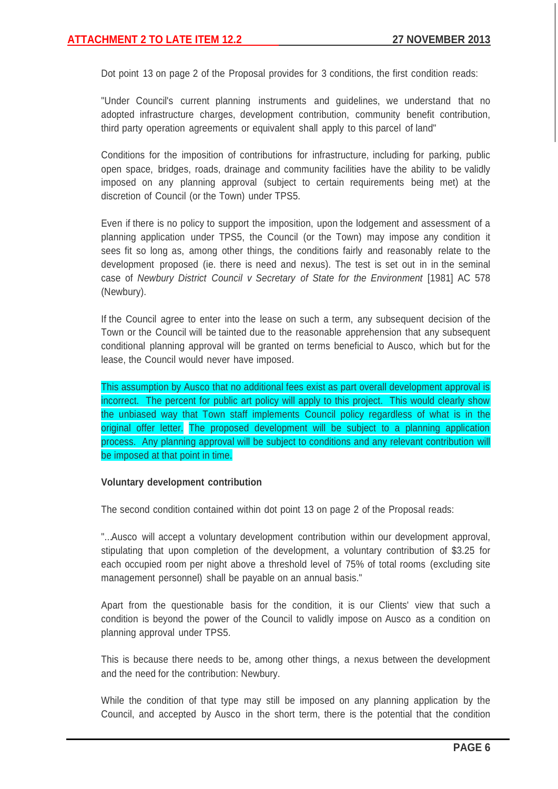Dot point 13 on page 2 of the Proposal provides for 3 conditions, the first condition reads:

"Under Council's current planning instruments and guidelines, we understand that no adopted infrastructure charges, development contribution, community benefit contribution, third party operation agreements or equivalent shall apply to this parcel of land"

Conditions for the imposition of contributions for infrastructure, including for parking, public open space, bridges, roads, drainage and community facilities have the ability to be validly imposed on any planning approval (subject to certain requirements being met) at the discretion of Council (or the Town) under TPS5.

Even if there is no policy to support the imposition, upon the lodgement and assessment of a planning application under TPS5, the Council (or the Town) may impose any condition it sees fit so long as, among other things, the conditions fairly and reasonably relate to the development proposed (ie. there is need and nexus). The test is set out in in the seminal case of *Newbury District Council v Secretary of State for the Environment* [1981] AC 578 (Newbury).

If the Council agree to enter into the lease on such a term, any subsequent decision of the Town or the Council will be tainted due to the reasonable apprehension that any subsequent conditional planning approval will be granted on terms beneficial to Ausco, which but for the lease, the Council would never have imposed.

This assumption by Ausco that no additional fees exist as part overall development approval is incorrect. The percent for public art policy will apply to this project. This would clearly show the unbiased way that Town staff implements Council policy regardless of what is in the original offer letter. The proposed development will be subject to a planning application process. Any planning approval will be subject to conditions and any relevant contribution will be imposed at that point in time.

#### **Voluntary development contribution**

The second condition contained within dot point 13 on page 2 of the Proposal reads:

"...Ausco will accept a voluntary development contribution within our development approval, stipulating that upon completion of the development, a voluntary contribution of \$3.25 for each occupied room per night above a threshold level of 75% of total rooms (excluding site management personnel) shall be payable on an annual basis."

Apart from the questionable basis for the condition, it is our Clients' view that such a condition is beyond the power of the Council to validly impose on Ausco as a condition on planning approval under TPS5.

This is because there needs to be, among other things, a nexus between the development and the need for the contribution: Newbury.

While the condition of that type may still be imposed on any planning application by the Council, and accepted by Ausco in the short term, there is the potential that the condition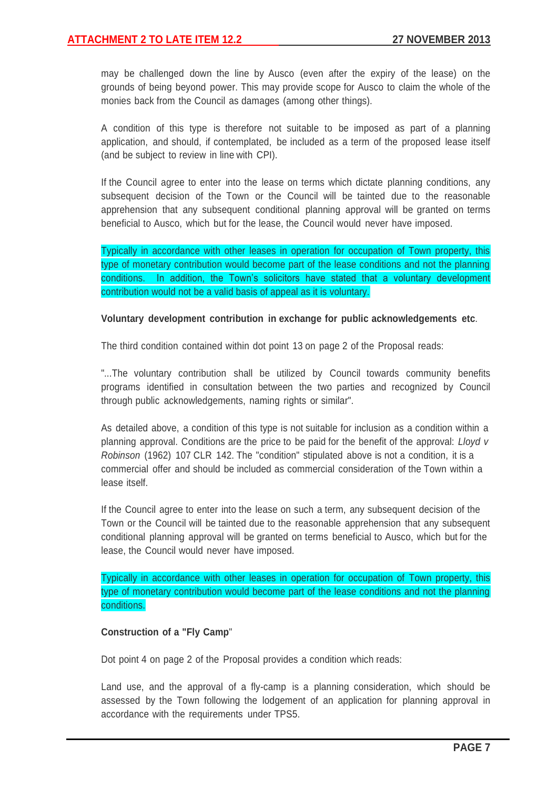may be challenged down the line by Ausco (even after the expiry of the lease) on the grounds of being beyond power. This may provide scope for Ausco to claim the whole of the monies back from the Council as damages (among other things).

A condition of this type is therefore not suitable to be imposed as part of a planning application, and should, if contemplated, be included as a term of the proposed lease itself (and be subject to review in line with CPI).

If the Council agree to enter into the lease on terms which dictate planning conditions, any subsequent decision of the Town or the Council will be tainted due to the reasonable apprehension that any subsequent conditional planning approval will be granted on terms beneficial to Ausco, which but for the lease, the Council would never have imposed.

Typically in accordance with other leases in operation for occupation of Town property, this type of monetary contribution would become part of the lease conditions and not the planning conditions. In addition, the Town's solicitors have stated that a voluntary development contribution would not be a valid basis of appeal as it is voluntary.

## **Voluntary development contribution in exchange for public acknowledgements etc**.

The third condition contained within dot point 13 on page 2 of the Proposal reads:

"...The voluntary contribution shall be utilized by Council towards community benefits programs identified in consultation between the two parties and recognized by Council through public acknowledgements, naming rights or similar".

As detailed above, a condition of this type is not suitable for inclusion as a condition within a planning approval. Conditions are the price to be paid for the benefit of the approval: *Lloyd v Robinson* (1962) 107 CLR 142. The "condition" stipulated above is not a condition, it is a commercial offer and should be included as commercial consideration of the Town within a lease itself.

If the Council agree to enter into the lease on such a term, any subsequent decision of the Town or the Council will be tainted due to the reasonable apprehension that any subsequent conditional planning approval will be granted on terms beneficial to Ausco, which but for the lease, the Council would never have imposed.

Typically in accordance with other leases in operation for occupation of Town property, this type of monetary contribution would become part of the lease conditions and not the planning conditions.

## **Construction of a "Fly Camp**"

Dot point 4 on page 2 of the Proposal provides a condition which reads:

Land use, and the approval of a fly-camp is a planning consideration, which should be assessed by the Town following the lodgement of an application for planning approval in accordance with the requirements under TPS5.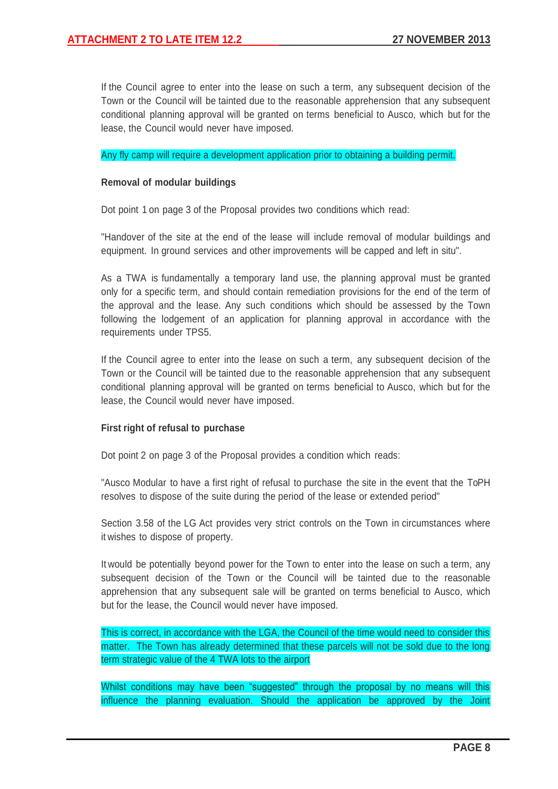If the Council agree to enter into the lease on such a term, any subsequent decision of the Town or the Council will be tainted due to the reasonable apprehension that any subsequent conditional planning approval will be granted on terms beneficial to Ausco, which but for the lease, the Council would never have imposed.

Any fly camp will require a development application prior to obtaining a building permit.

#### **Removal of modular buildings**

Dot point 1 on page 3 of the Proposal provides two conditions which read:

"Handover of the site at the end of the lease will include removal of modular buildings and equipment. In ground services and other improvements will be capped and left in situ".

As a TWA is fundamentally a temporary land use, the planning approval must be granted only for a specific term, and should contain remediation provisions for the end of the term of the approval and the lease. Any such conditions which should be assessed by the Town following the lodgement of an application for planning approval in accordance with the requirements under TPS5.

If the Council agree to enter into the lease on such a term, any subsequent decision of the Town or the Council will be tainted due to the reasonable apprehension that any subsequent conditional planning approval will be granted on terms beneficial to Ausco, which but for the lease, the Council would never have imposed.

## **First right of refusal to purchase**

Dot point 2 on page 3 of the Proposal provides a condition which reads:

"Ausco Modular to have a first right of refusal to purchase the site in the event that the ToPH resolves to dispose of the suite during the period of the lease or extended period"

Section 3.58 of the LG Act provides very strict controls on the Town in circumstances where it wishes to dispose of property.

It would be potentially beyond power for the Town to enter into the lease on such a term, any subsequent decision of the Town or the Council will be tainted due to the reasonable apprehension that any subsequent sale will be granted on terms beneficial to Ausco, which but for the lease, the Council would never have imposed.

This is correct, in accordance with the LGA, the Council of the time would need to consider this matter. The Town has already determined that these parcels will not be sold due to the long term strategic value of the 4 TWA lots to the airport

Whilst conditions may have been "suggested" through the proposal by no means will this influence the planning evaluation. Should the application be approved by the Joint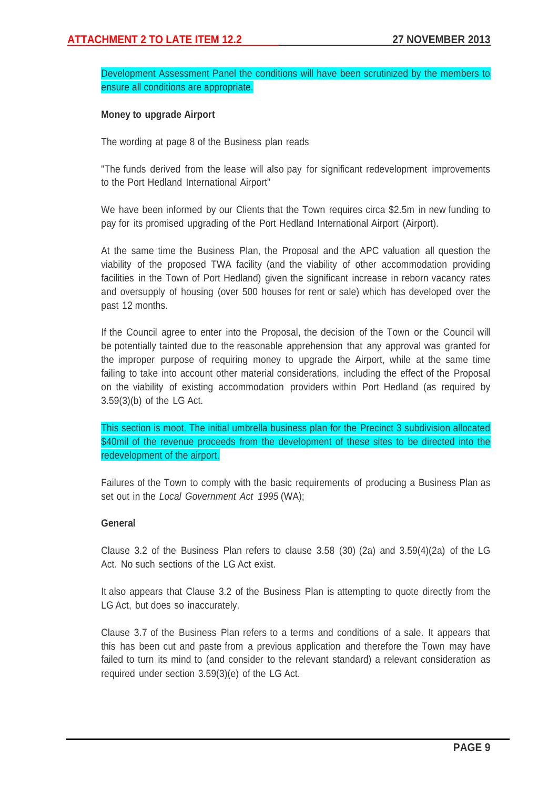Development Assessment Panel the conditions will have been scrutinized by the members to ensure all conditions are appropriate.

## **Money to upgrade Airport**

The wording at page 8 of the Business plan reads

"The funds derived from the lease will also pay for significant redevelopment improvements to the Port Hedland International Airport"

We have been informed by our Clients that the Town requires circa \$2.5m in new funding to pay for its promised upgrading of the Port Hedland International Airport (Airport).

At the same time the Business Plan, the Proposal and the APC valuation all question the viability of the proposed TWA facility (and the viability of other accommodation providing facilities in the Town of Port Hedland) given the significant increase in reborn vacancy rates and oversupply of housing (over 500 houses for rent or sale) which has developed over the past 12 months.

If the Council agree to enter into the Proposal, the decision of the Town or the Council will be potentially tainted due to the reasonable apprehension that any approval was granted for the improper purpose of requiring money to upgrade the Airport, while at the same time failing to take into account other material considerations, including the effect of the Proposal on the viability of existing accommodation providers within Port Hedland (as required by 3.59(3)(b) of the LG Act.

This section is moot. The initial umbrella business plan for the Precinct 3 subdivision allocated \$40mil of the revenue proceeds from the development of these sites to be directed into the redevelopment of the airport.

Failures of the Town to comply with the basic requirements of producing a Business Plan as set out in the *Local Government Act 1995* (WA);

## **General**

Clause 3.2 of the Business Plan refers to clause 3.58 (30) (2a) and 3.59(4)(2a) of the LG Act. No such sections of the LG Act exist.

It also appears that Clause 3.2 of the Business Plan is attempting to quote directly from the LG Act, but does so inaccurately.

Clause 3.7 of the Business Plan refers to a terms and conditions of a sale. It appears that this has been cut and paste from a previous application and therefore the Town may have failed to turn its mind to (and consider to the relevant standard) a relevant consideration as required under section 3.59(3)(e) of the LG Act.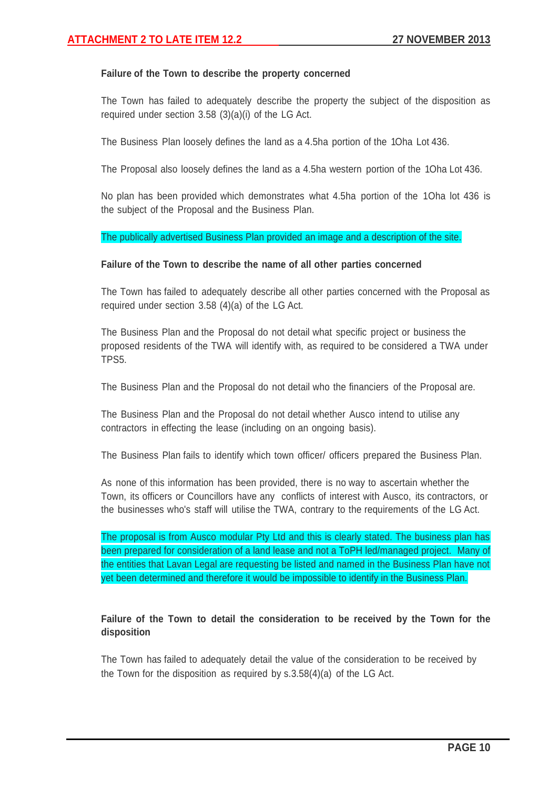## **Failure of the Town to describe the property concerned**

The Town has failed to adequately describe the property the subject of the disposition as required under section 3.58 (3)(a)(i) of the LG Act.

The Business Plan loosely defines the land as a 4.5ha portion of the 1Oha Lot 436.

The Proposal also loosely defines the land as a 4.5ha western portion of the 1Oha Lot 436.

No plan has been provided which demonstrates what 4.5ha portion of the 1Oha lot 436 is the subject of the Proposal and the Business Plan.

#### The publically advertised Business Plan provided an image and a description of the site.

#### **Failure of the Town to describe the name of all other parties concerned**

The Town has failed to adequately describe all other parties concerned with the Proposal as required under section 3.58 (4)(a) of the LG Act.

The Business Plan and the Proposal do not detail what specific project or business the proposed residents of the TWA will identify with, as required to be considered a TWA under TPS5.

The Business Plan and the Proposal do not detail who the financiers of the Proposal are.

The Business Plan and the Proposal do not detail whether Ausco intend to utilise any contractors in effecting the lease (including on an ongoing basis).

The Business Plan fails to identify which town officer/ officers prepared the Business Plan.

As none of this information has been provided, there is no way to ascertain whether the Town, its officers or Councillors have any conflicts of interest with Ausco, its contractors, or the businesses who's staff will utilise the TWA, contrary to the requirements of the LG Act.

The proposal is from Ausco modular Pty Ltd and this is clearly stated. The business plan has been prepared for consideration of a land lease and not a ToPH led/managed project. Many of the entities that Lavan Legal are requesting be listed and named in the Business Plan have not yet been determined and therefore it would be impossible to identify in the Business Plan.

# **Failure of the Town to detail the consideration to be received by the Town for the disposition**

The Town has failed to adequately detail the value of the consideration to be received by the Town for the disposition as required by s.3.58(4)(a) of the LG Act.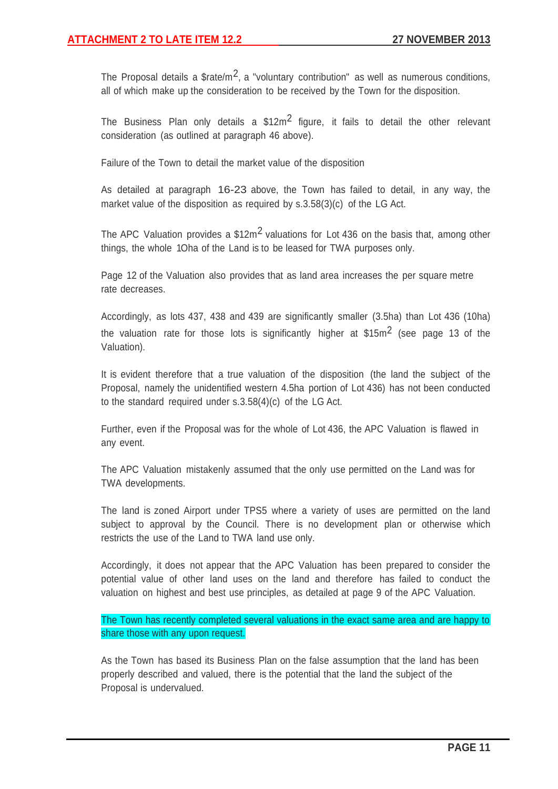The Proposal details a  $$rate/m^2$ , a "voluntary contribution" as well as numerous conditions, all of which make up the consideration to be received by the Town for the disposition.

The Business Plan only details a  $$12m<sup>2</sup>$  figure, it fails to detail the other relevant consideration (as outlined at paragraph 46 above).

Failure of the Town to detail the market value of the disposition

As detailed at paragraph 16-23 above, the Town has failed to detail, in any way, the market value of the disposition as required by s.3.58(3)(c) of the LG Act.

The APC Valuation provides a  $$12m<sup>2</sup>$  valuations for Lot 436 on the basis that, among other things, the whole 1Oha of the Land is to be leased for TWA purposes only.

Page 12 of the Valuation also provides that as land area increases the per square metre rate decreases.

Accordingly, as lots 437, 438 and 439 are significantly smaller (3.5ha) than Lot 436 (10ha) the valuation rate for those lots is significantly higher at  $$15m<sup>2</sup>$  (see page 13 of the Valuation).

It is evident therefore that a true valuation of the disposition (the land the subject of the Proposal, namely the unidentified western 4.5ha portion of Lot 436) has not been conducted to the standard required under s.3.58(4)(c) of the LG Act.

Further, even if the Proposal was for the whole of Lot 436, the APC Valuation is flawed in any event.

The APC Valuation mistakenly assumed that the only use permitted on the Land was for TWA developments.

The land is zoned Airport under TPS5 where a variety of uses are permitted on the land subject to approval by the Council. There is no development plan or otherwise which restricts the use of the Land to TWA land use only.

Accordingly, it does not appear that the APC Valuation has been prepared to consider the potential value of other land uses on the land and therefore has failed to conduct the valuation on highest and best use principles, as detailed at page 9 of the APC Valuation.

The Town has recently completed several valuations in the exact same area and are happy to share those with any upon request.

As the Town has based its Business Plan on the false assumption that the land has been properly described and valued, there is the potential that the land the subject of the Proposal is undervalued.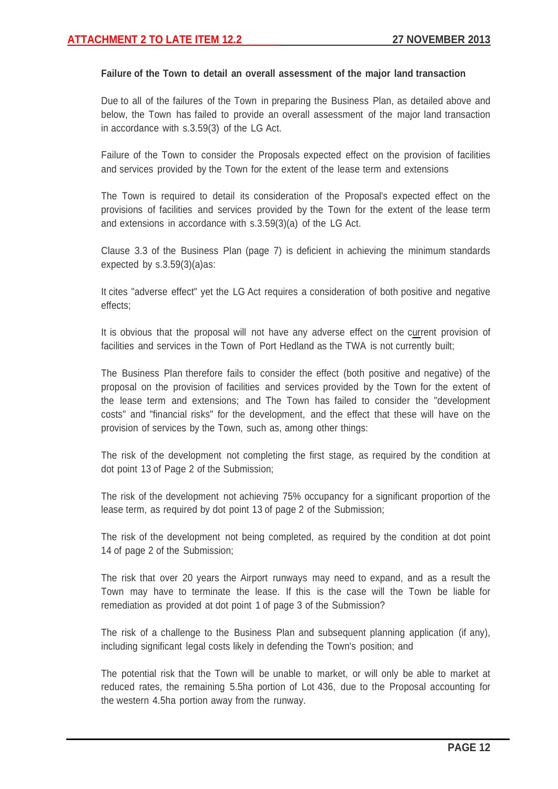#### **Failure of the Town to detail an overall assessment of the major land transaction**

Due to all of the failures of the Town in preparing the Business Plan, as detailed above and below, the Town has failed to provide an overall assessment of the major land transaction in accordance with s.3.59(3) of the LG Act.

Failure of the Town to consider the Proposals expected effect on the provision of facilities and services provided by the Town for the extent of the lease term and extensions

The Town is required to detail its consideration of the Proposal's expected effect on the provisions of facilities and services provided by the Town for the extent of the lease term and extensions in accordance with s.3.59(3)(a) of the LG Act.

Clause 3.3 of the Business Plan (page 7) is deficient in achieving the minimum standards expected by s.3.59(3)(a)as:

It cites "adverse effect" yet the LG Act requires a consideration of both positive and negative effects;

It is obvious that the proposal will not have any adverse effect on the current provision of facilities and services in the Town of Port Hedland as the TWA is not currently built;

The Business Plan therefore fails to consider the effect (both positive and negative) of the proposal on the provision of facilities and services provided by the Town for the extent of the lease term and extensions; and The Town has failed to consider the "development costs" and "financial risks" for the development, and the effect that these will have on the provision of services by the Town, such as, among other things:

The risk of the development not completing the first stage, as required by the condition at dot point 13 of Page 2 of the Submission;

The risk of the development not achieving 75% occupancy for a significant proportion of the lease term, as required by dot point 13 of page 2 of the Submission;

The risk of the development not being completed, as required by the condition at dot point 14 of page 2 of the Submission;

The risk that over 20 years the Airport runways may need to expand, and as a result the Town may have to terminate the lease. If this is the case will the Town be liable for remediation as provided at dot point 1 of page 3 of the Submission?

The risk of a challenge to the Business Plan and subsequent planning application (if any), including significant legal costs likely in defending the Town's position; and

The potential risk that the Town will be unable to market, or will only be able to market at reduced rates, the remaining 5.5ha portion of Lot 436, due to the Proposal accounting for the western 4.5ha portion away from the runway.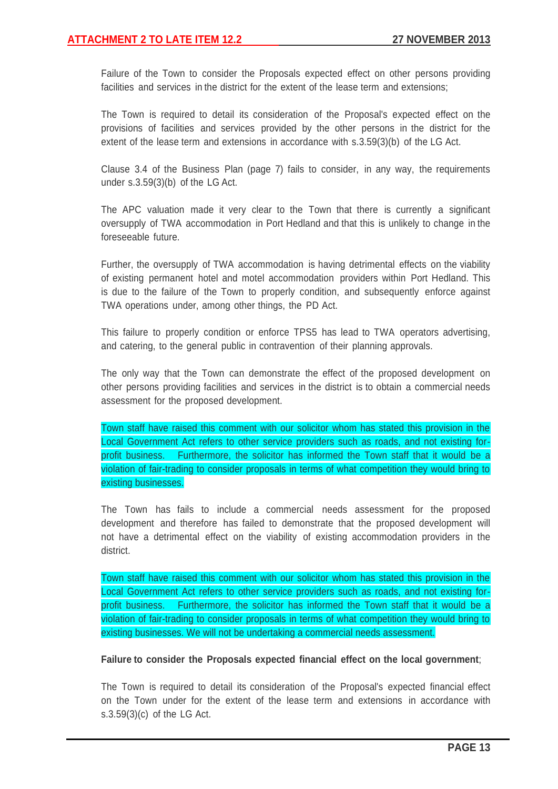Failure of the Town to consider the Proposals expected effect on other persons providing facilities and services in the district for the extent of the lease term and extensions;

The Town is required to detail its consideration of the Proposal's expected effect on the provisions of facilities and services provided by the other persons in the district for the extent of the lease term and extensions in accordance with s.3.59(3)(b) of the LG Act.

Clause 3.4 of the Business Plan (page 7) fails to consider, in any way, the requirements under s.3.59(3)(b) of the LG Act.

The APC valuation made it very clear to the Town that there is currently a significant oversupply of TWA accommodation in Port Hedland and that this is unlikely to change in the foreseeable future.

Further, the oversupply of TWA accommodation is having detrimental effects on the viability of existing permanent hotel and motel accommodation providers within Port Hedland. This is due to the failure of the Town to properly condition, and subsequently enforce against TWA operations under, among other things, the PD Act.

This failure to properly condition or enforce TPS5 has lead to TWA operators advertising, and catering, to the general public in contravention of their planning approvals.

The only way that the Town can demonstrate the effect of the proposed development on other persons providing facilities and services in the district is to obtain a commercial needs assessment for the proposed development.

Town staff have raised this comment with our solicitor whom has stated this provision in the Local Government Act refers to other service providers such as roads, and not existing forprofit business. Furthermore, the solicitor has informed the Town staff that it would be a violation of fair-trading to consider proposals in terms of what competition they would bring to existing businesses.

The Town has fails to include a commercial needs assessment for the proposed development and therefore has failed to demonstrate that the proposed development will not have a detrimental effect on the viability of existing accommodation providers in the district.

Town staff have raised this comment with our solicitor whom has stated this provision in the Local Government Act refers to other service providers such as roads, and not existing forprofit business. Furthermore, the solicitor has informed the Town staff that it would be a violation of fair-trading to consider proposals in terms of what competition they would bring to existing businesses. We will not be undertaking a commercial needs assessment.

## **Failure to consider the Proposals expected financial effect on the local government**;

The Town is required to detail its consideration of the Proposal's expected financial effect on the Town under for the extent of the lease term and extensions in accordance with s.3.59(3)(c) of the LG Act.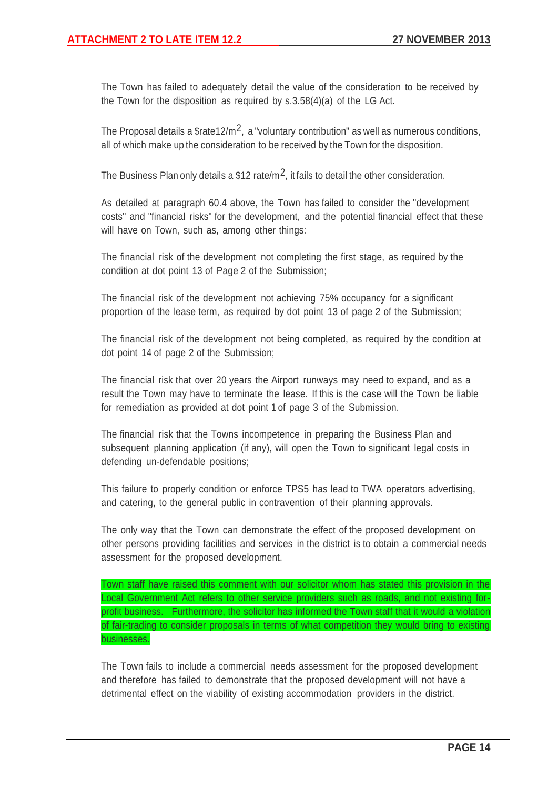The Town has failed to adequately detail the value of the consideration to be received by the Town for the disposition as required by s.3.58(4)(a) of the LG Act.

The Proposal details a  $$rate12/m<sup>2</sup>$ , a "voluntary contribution" as well as numerous conditions, all of which make up the consideration to be received by the Town for the disposition.

The Business Plan only details a \$12 rate/ $m^2$ , it fails to detail the other consideration.

As detailed at paragraph 60.4 above, the Town has failed to consider the "development costs" and "financial risks" for the development, and the potential financial effect that these will have on Town, such as, among other things:

The financial risk of the development not completing the first stage, as required by the condition at dot point 13 of Page 2 of the Submission;

The financial risk of the development not achieving 75% occupancy for a significant proportion of the lease term, as required by dot point 13 of page 2 of the Submission;

The financial risk of the development not being completed, as required by the condition at dot point 14 of page 2 of the Submission;

The financial risk that over 20 years the Airport runways may need to expand, and as a result the Town may have to terminate the lease. If this is the case will the Town be liable for remediation as provided at dot point 1 of page 3 of the Submission.

The financial risk that the Towns incompetence in preparing the Business Plan and subsequent planning application (if any), will open the Town to significant legal costs in defending un-defendable positions;

This failure to properly condition or enforce TPS5 has lead to TWA operators advertising, and catering, to the general public in contravention of their planning approvals.

The only way that the Town can demonstrate the effect of the proposed development on other persons providing facilities and services in the district is to obtain a commercial needs assessment for the proposed development.

Town staff have raised this comment with our solicitor whom has stated this provision in the Local Government Act refers to other service providers such as roads, and not existing forprofit business. Furthermore, the solicitor has informed the Town staff that it would a violation of fair-trading to consider proposals in terms of what competition they would bring to existing businesses.

The Town fails to include a commercial needs assessment for the proposed development and therefore has failed to demonstrate that the proposed development will not have a detrimental effect on the viability of existing accommodation providers in the district.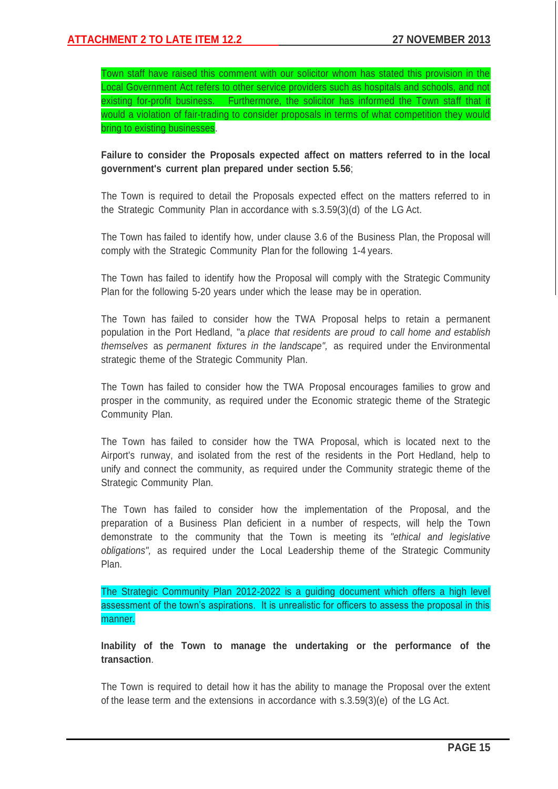Town staff have raised this comment with our solicitor whom has stated this provision in the Local Government Act refers to other service providers such as hospitals and schools, and not existing for-profit business. Furthermore, the solicitor has informed the Town staff that it would a violation of fair-trading to consider proposals in terms of what competition they would bring to existing businesses.

# **Failure to consider the Proposals expected affect on matters referred to in the local government's current plan prepared under section 5.56**;

The Town is required to detail the Proposals expected effect on the matters referred to in the Strategic Community Plan in accordance with s.3.59(3)(d) of the LG Act.

The Town has failed to identify how, under clause 3.6 of the Business Plan, the Proposal will comply with the Strategic Community Plan for the following 1-4 years.

The Town has failed to identify how the Proposal will comply with the Strategic Community Plan for the following 5-20 years under which the lease may be in operation.

The Town has failed to consider how the TWA Proposal helps to retain a permanent population in the Port Hedland, "a *place that residents are proud to call home and establish themselves* as *permanent fixtures in the landscape",* as required under the Environmental strategic theme of the Strategic Community Plan.

The Town has failed to consider how the TWA Proposal encourages families to grow and prosper in the community, as required under the Economic strategic theme of the Strategic Community Plan.

The Town has failed to consider how the TWA Proposal, which is located next to the Airport's runway, and isolated from the rest of the residents in the Port Hedland, help to unify and connect the community, as required under the Community strategic theme of the Strategic Community Plan.

The Town has failed to consider how the implementation of the Proposal, and the preparation of a Business Plan deficient in a number of respects, will help the Town demonstrate to the community that the Town is meeting its *"ethical and legislative obligations",* as required under the Local Leadership theme of the Strategic Community Plan.

The Strategic Community Plan 2012-2022 is a guiding document which offers a high level assessment of the town's aspirations. It is unrealistic for officers to assess the proposal in this manner.

**Inability of the Town to manage the undertaking or the performance of the transaction**.

The Town is required to detail how it has the ability to manage the Proposal over the extent of the lease term and the extensions in accordance with s.3.59(3)(e) of the LG Act.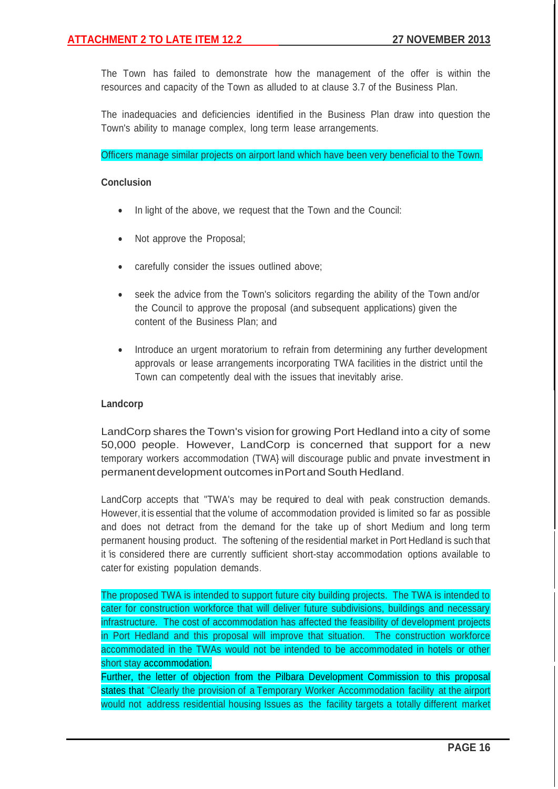The Town has failed to demonstrate how the management of the offer is within the resources and capacity of the Town as alluded to at clause 3.7 of the Business Plan.

The inadequacies and deficiencies identified in the Business Plan draw into question the Town's ability to manage complex, long term lease arrangements.

Officers manage similar projects on airport land which have been very beneficial to the Town.

## **Conclusion**

- In light of the above, we request that the Town and the Council:
- Not approve the Proposal;
- carefully consider the issues outlined above;
- seek the advice from the Town's solicitors regarding the ability of the Town and/or the Council to approve the proposal (and subsequent applications) given the content of the Business Plan; and
- Introduce an urgent moratorium to refrain from determining any further development approvals or lease arrangements incorporating TWA facilities in the district until the Town can competently deal with the issues that inevitably arise.

## **Landcorp**

LandCorp shares the Town's vision for growing Port Hedland into a city of some 50,000 people. However, LandCorp is concerned that support for a new temporary workers accommodation (TWA} will discourage public and pnvate investment in permanent development outcomes in Port and South Hedland.

LandCorp accepts that "TWA's may be required to deal with peak construction demands. However, it is essential that the volume of accommodation provided is limited so far as possible and does not detract from the demand for the take up of short Medium and long term permanent housing product. The softening of the residential market in Port Hedland is such that it 'is considered there are currently sufficient short-stay accommodation options available to cater for existing population demands.

The proposed TWA is intended to support future city building projects. The TWA is intended to cater for construction workforce that will deliver future subdivisions, buildings and necessary infrastructure. The cost of accommodation has affected the feasibility of development projects in Port Hedland and this proposal will improve that situation. The construction workforce accommodated in the TWAs would not be intended to be accommodated in hotels or other short stay accommodation.

Further, the letter of objection from the Pilbara Development Commission to this proposal states that "Clearly the provision of a Temporary Worker Accommodation facility at the airport would not address residential housing Issues as the facility targets a totally different market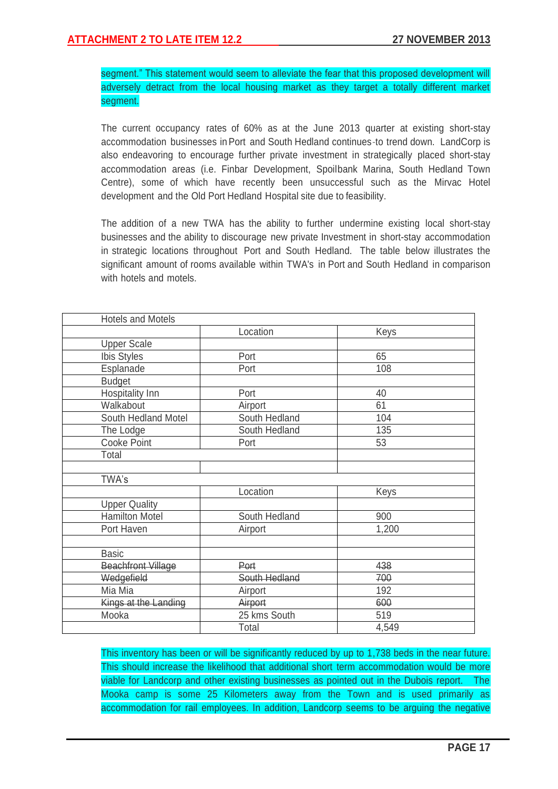segment." This statement would seem to alleviate the fear that this proposed development will adversely detract from the local housing market as they target a totally different market segment.

The current occupancy rates of 60% as at the June 2013 quarter at existing short-stay accommodation businesses in Port and South Hedland continues-to trend down. LandCorp is also endeavoring to encourage further private investment in strategically placed short-stay accommodation areas (i.e. Finbar Development, Spoilbank Marina, South Hedland Town Centre), some of which have recently been unsuccessful such as the Mirvac Hotel development and the Old Port Hedland Hospital site due to feasibility.

The addition of a new TWA has the ability to further undermine existing local short-stay businesses and the ability to discourage new private Investment in short-stay accommodation in strategic locations throughout Port and South Hedland. The table below illustrates the significant amount of rooms available within TWA's in Port and South Hedland in comparison with hotels and motels.

| <b>Hotels and Motels</b>  |                     |       |  |
|---------------------------|---------------------|-------|--|
|                           | Location            | Keys  |  |
| <b>Upper Scale</b>        |                     |       |  |
| Ibis Styles               | Port                | 65    |  |
| Esplanade                 | Port                | 108   |  |
| <b>Budget</b>             |                     |       |  |
| Hospitality Inn           | Port                | 40    |  |
| Walkabout                 | Airport             | 61    |  |
| South Hedland Motel       | South Hedland       | 104   |  |
| The Lodge                 | South Hedland       | 135   |  |
| Cooke Point               | Port                | 53    |  |
| Total                     |                     |       |  |
|                           |                     |       |  |
| TWA's                     |                     |       |  |
|                           | Location            | Keys  |  |
| <b>Upper Quality</b>      |                     |       |  |
| <b>Hamilton Motel</b>     | South Hedland       | 900   |  |
| Port Haven                | Airport             | 1,200 |  |
|                           |                     |       |  |
| <b>Basic</b>              |                     |       |  |
| <b>Beachfront Village</b> | Port                | 438   |  |
| Wedgefield                | South Hedland       | 700   |  |
| Mia Mia                   | Airport             | 192   |  |
| Kings at the Landing      | Airport             | 600   |  |
| Mooka                     | 25 kms South<br>519 |       |  |
|                           | Total               | 4,549 |  |

This inventory has been or will be significantly reduced by up to 1,738 beds in the near future. This should increase the likelihood that additional short term accommodation would be more viable for Landcorp and other existing businesses as pointed out in the Dubois report. The Mooka camp is some 25 Kilometers away from the Town and is used primarily as accommodation for rail employees. In addition, Landcorp seems to be arguing the negative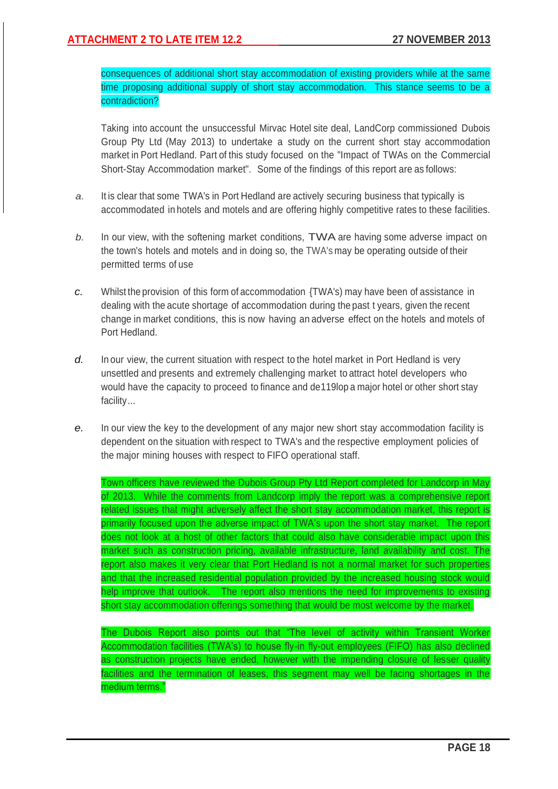consequences of additional short stay accommodation of existing providers while at the same time proposing additional supply of short stay accommodation. This stance seems to be a contradiction?

Taking into account the unsuccessful Mirvac Hotel site deal, LandCorp commissioned Dubois Group Pty Ltd (May 2013) to undertake a study on the current short stay accommodation market in Port Hedland. Part of this study focused on the "Impact of TWAs on the Commercial Short-Stay Accommodation market". Some of the findings of this report are as follows:

- *a.* It is clear that some TWA's in Port Hedland are actively securing business that typically is accommodated in hotels and motels and are offering highly competitive rates to these facilities.
- *b.* In our view, with the softening market conditions, TWA are having some adverse impact on the town's hotels and motels and in doing so, the TWA's may be operating outside of their permitted terms of use
- *c.* Whilst the provision of this form of accommodation {TWA's) may have been of assistance in dealing with the acute shortage of accommodation during the past t years, given the recent change in market conditions, this is now having an adverse effect on the hotels and motels of Port Hedland.
- d. In our view, the current situation with respect to the hotel market in Port Hedland is very unsettled and presents and extremely challenging market to attract hotel developers who would have the capacity to proceed to finance and de119lop a major hotel or other short stay facility...
- *e.* In our view the key to the development of any major new short stay accommodation facility is dependent on the situation with respect to TWA's and the respective employment policies of the major mining houses with respect to FIFO operational staff.

Town officers have reviewed the Dubois Group Pty Ltd Report completed for Landcorp in May of 2013. While the comments from Landcorp imply the report was a comprehensive report related issues that might adversely affect the short stay accommodation market, this report is primarily focused upon the adverse impact of TWA's upon the short stay market. The report does not look at a host of other factors that could also have considerable impact upon this market such as construction pricing, available infrastructure, land availability and cost. The report also makes it very clear that Port Hedland is not a normal market for such properties and that the increased residential population provided by the increased housing stock would help improve that outlook. The report also mentions the need for improvements to existing short stay accommodation offerings something that would be most welcome by the market.

The Dubois Report also points out that "The level of activity within Transient Worker Accommodation facilities (TWA's) to house fly-in fly-out employees (FIFO) has also declined as construction projects have ended, however with the impending closure of lesser quality facilities and the termination of leases, this segment may well be facing shortages in the medium terms."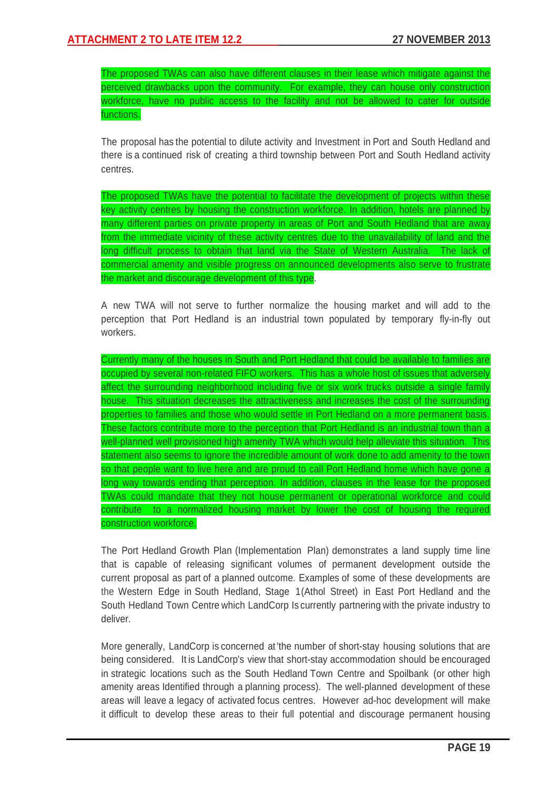The proposed TWAs can also have different clauses in their lease which mitigate against the perceived drawbacks upon the community. For example, they can house only construction workforce, have no public access to the facility and not be allowed to cater for outside functions.

The proposal has the potential to dilute activity and Investment in Port and South Hedland and there is a continued risk of creating a third township between Port and South Hedland activity centres.

The proposed TWAs have the potential to facilitate the development of projects within these key activity centres by housing the construction workforce. In addition, hotels are planned by many different parties on private property in areas of Port and South Hedland that are away from the immediate vicinity of these activity centres due to the unavailability of land and the long difficult process to obtain that land via the State of Western Australia. The lack of commercial amenity and visible progress on announced developments also serve to frustrate the market and discourage development of this type.

A new TWA will not serve to further normalize the housing market and will add to the perception that Port Hedland is an industrial town populated by temporary fly-in-fly out workers.

Currently many of the houses in South and Port Hedland that could be available to families are occupied by several non-related FIFO workers. This has a whole host of issues that adversely affect the surrounding neighborhood including five or six work trucks outside a single family house. This situation decreases the attractiveness and increases the cost of the surrounding properties to families and those who would settle in Port Hedland on a more permanent basis. These factors contribute more to the perception that Port Hedland is an industrial town than a well-planned well provisioned high amenity TWA which would help alleviate this situation. This statement also seems to ignore the incredible amount of work done to add amenity to the town so that people want to live here and are proud to call Port Hedland home which have gone a long way towards ending that perception. In addition, clauses in the lease for the proposed TWAs could mandate that they not house permanent or operational workforce and could contribute to a normalized housing market by lower the cost of housing the required construction workforce.

The Port Hedland Growth Plan (Implementation Plan) demonstrates a land supply time line that is capable of releasing significant volumes of permanent development outside the current proposal as part of a planned outcome. Examples of some of these developments are the Western Edge in South Hedland, Stage 1(Athol Street) in East Port Hedland and the South Hedland Town Centre which LandCorp Is currently partnering with the private industry to deliver.

More generally, LandCorp is concerned at 'the number of short-stay housing solutions that are being considered. It is LandCorp's view that short-stay accommodation should be encouraged in strategic locations such as the South Hedland Town Centre and Spoilbank (or other high amenity areas Identified through a planning process). The well-planned development of these areas will leave a legacy of activated focus centres. However ad-hoc development will make it difficult to develop these areas to their full potential and discourage permanent housing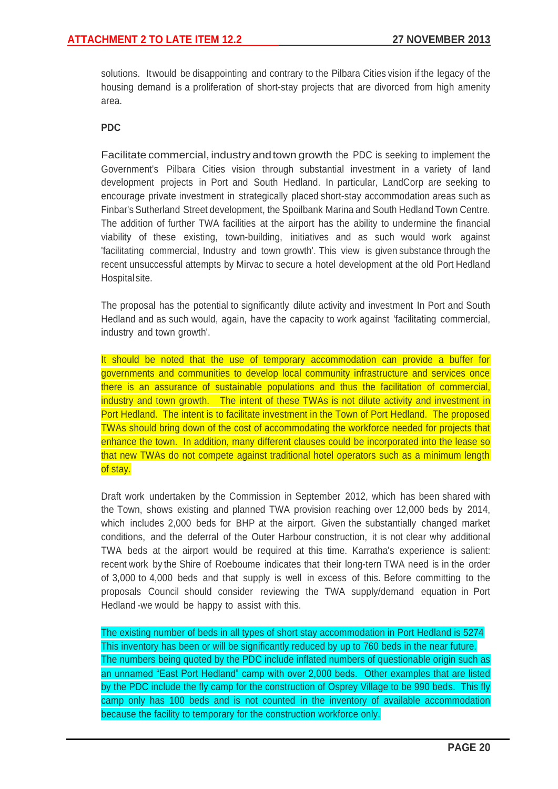solutions. Itwould be disappointing and contrary to the Pilbara Cities vision if the legacy of the housing demand is a proliferation of short-stay projects that are divorced from high amenity area.

## **PDC**

Facilitate commercial, industry andtown growth the PDC is seeking to implement the Government's Pilbara Cities vision through substantial investment in a variety of land development projects in Port and South Hedland. In particular, LandCorp are seeking to encourage private investment in strategically placed short-stay accommodation areas such as Finbar's Sutherland Street development, the Spoilbank Marina and South Hedland Town Centre. The addition of further TWA facilities at the airport has the ability to undermine the financial viability of these existing, town-building, initiatives and as such would work against 'facilitating commercial, Industry and town growth'. This view is given substance through the recent unsuccessful attempts by Mirvac to secure a hotel development at the old Port Hedland Hospitalsite.

The proposal has the potential to significantly dilute activity and investment In Port and South Hedland and as such would, again, have the capacity to work against 'facilitating commercial, industry and town growth'.

It should be noted that the use of temporary accommodation can provide a buffer for governments and communities to develop local community infrastructure and services once there is an assurance of sustainable populations and thus the facilitation of commercial, industry and town growth. The intent of these TWAs is not dilute activity and investment in Port Hedland. The intent is to facilitate investment in the Town of Port Hedland. The proposed TWAs should bring down of the cost of accommodating the workforce needed for projects that enhance the town. In addition, many different clauses could be incorporated into the lease so that new TWAs do not compete against traditional hotel operators such as a minimum length of stay.

Draft work undertaken by the Commission in September 2012, which has been shared with the Town, shows existing and planned TWA provision reaching over 12,000 beds by 2014, which includes 2,000 beds for BHP at the airport. Given the substantially changed market conditions, and the deferral of the Outer Harbour construction, it is not clear why additional TWA beds at the airport would be required at this time. Karratha's experience is salient: recent work by the Shire of Roeboume indicates that their long-tern TWA need is in the order of 3,000 to 4,000 beds and that supply is well in excess of this. Before committing to the proposals Council should consider reviewing the TWA supply/demand equation in Port Hedland -we would be happy to assist with this.

The existing number of beds in all types of short stay accommodation in Port Hedland is 5274 This inventory has been or will be significantly reduced by up to 760 beds in the near future. The numbers being quoted by the PDC include inflated numbers of questionable origin such as an unnamed "East Port Hedland" camp with over 2,000 beds. Other examples that are listed by the PDC include the fly camp for the construction of Osprey Village to be 990 beds. This fly camp only has 100 beds and is not counted in the inventory of available accommodation because the facility to temporary for the construction workforce only.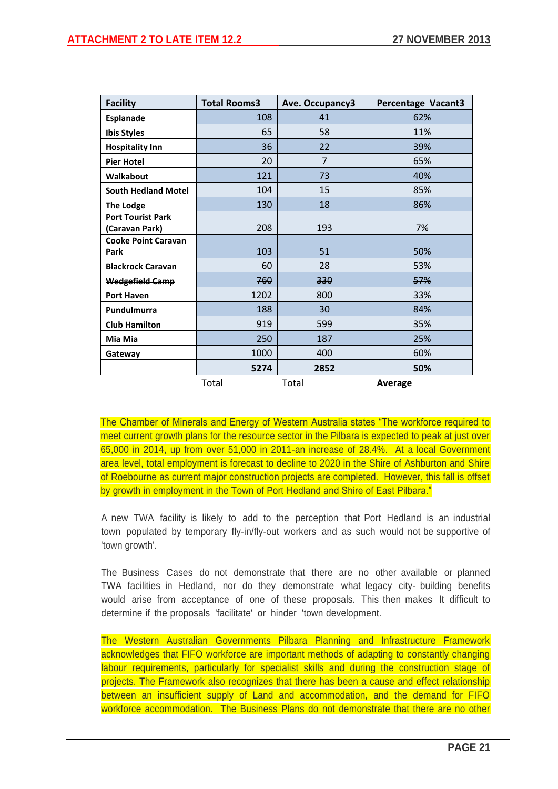| <b>Facility</b>                            | <b>Total Rooms3</b> | Ave. Occupancy3 | Percentage Vacant3 |
|--------------------------------------------|---------------------|-----------------|--------------------|
| <b>Esplanade</b>                           | 108                 | 41              | 62%                |
| <b>Ibis Styles</b>                         | 65                  | 58              | 11%                |
| <b>Hospitality Inn</b>                     | 36                  | 22              | 39%                |
| <b>Pier Hotel</b>                          | 20                  | $\overline{7}$  | 65%                |
| Walkabout                                  | 121                 | 73              | 40%                |
| <b>South Hedland Motel</b>                 | 104                 | 15              | 85%                |
| <b>The Lodge</b>                           | 130                 | 18              | 86%                |
| <b>Port Tourist Park</b><br>(Caravan Park) | 208                 | 193             | 7%                 |
| <b>Cooke Point Caravan</b><br>Park         | 103                 | 51              | 50%                |
| <b>Blackrock Caravan</b>                   | 60                  | 28              | 53%                |
| <b>Wedgefield Camp</b>                     | 760                 | 330             | 57%                |
| <b>Port Haven</b>                          | 1202                | 800             | 33%                |
| Pundulmurra                                | 188                 | 30              | 84%                |
| <b>Club Hamilton</b>                       | 919                 | 599             | 35%                |
| Mia Mia                                    | 250                 | 187             | 25%                |
| Gateway                                    | 1000                | 400             | 60%                |
|                                            | 5274                | 2852            | 50%                |
|                                            | Total               | Total           | Average            |

The Chamber of Minerals and Energy of Western Australia states "The workforce required to meet current growth plans for the resource sector in the Pilbara is expected to peak at just over 65,000 in 2014, up from over 51,000 in 2011-an increase of 28.4%. At a local Government area level, total employment is forecast to decline to 2020 in the Shire of Ashburton and Shire of Roebourne as current major construction projects are completed. However, this fall is offset by growth in employment in the Town of Port Hedland and Shire of East Pilbara."

A new TWA facility is likely to add to the perception that Port Hedland is an industrial town populated by temporary fly-in/fly-out workers and as such would not be supportive of 'town growth'.

The Business Cases do not demonstrate that there are no other available or planned TWA facilities in Hedland, nor do they demonstrate what legacy city- building benefits would arise from acceptance of one of these proposals. This then makes It difficult to determine if the proposals 'facilitate' or hinder 'town development.

The Western Australian Governments Pilbara Planning and Infrastructure Framework acknowledges that FIFO workforce are important methods of adapting to constantly changing labour requirements, particularly for specialist skills and during the construction stage of projects. The Framework also recognizes that there has been a cause and effect relationship between an insufficient supply of Land and accommodation, and the demand for FIFO workforce accommodation. The Business Plans do not demonstrate that there are no other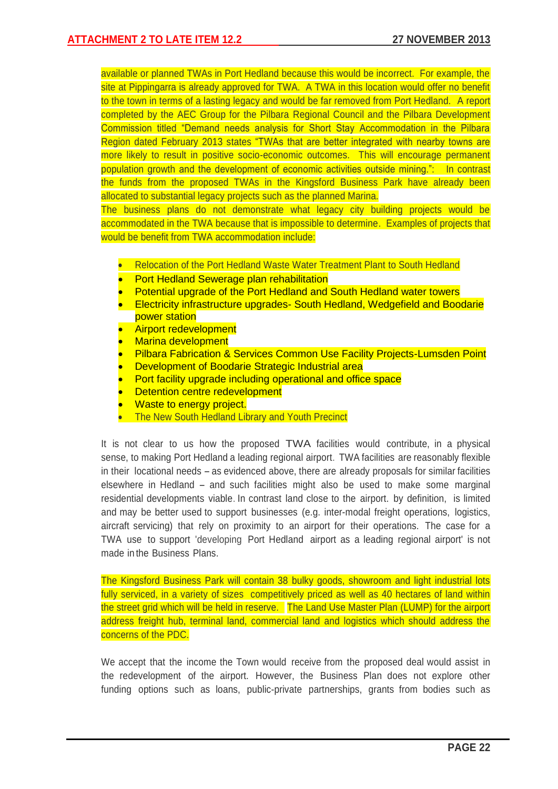available or planned TWAs in Port Hedland because this would be incorrect. For example, the site at Pippingarra is already approved for TWA. A TWA in this location would offer no benefit to the town in terms of a lasting legacy and would be far removed from Port Hedland. A report completed by the AEC Group for the Pilbara Regional Council and the Pilbara Development Commission titled "Demand needs analysis for Short Stay Accommodation in the Pilbara Region dated February 2013 states "TWAs that are better integrated with nearby towns are more likely to result in positive socio-economic outcomes. This will encourage permanent population growth and the development of economic activities outside mining.": In contrast the funds from the proposed TWAs in the Kingsford Business Park have already been allocated to substantial legacy projects such as the planned Marina.

The business plans do not demonstrate what legacy city building projects would be accommodated in the TWA because that is impossible to determine. Examples of projects that would be benefit from TWA accommodation include:

- Relocation of the Port Hedland Waste Water Treatment Plant to South Hedland
- Port Hedland Sewerage plan rehabilitation
- Potential upgrade of the Port Hedland and South Hedland water towers
- Electricity infrastructure upgrades- South Hedland, Wedgefield and Boodarie power station
- Airport redevelopment
- Marina development
- Pilbara Fabrication & Services Common Use Facility Projects-Lumsden Point
- Development of Boodarie Strategic Industrial area
- Port facility upgrade including operational and office space
- Detention centre redevelopment
- Waste to energy project.
- The New South Hedland Library and Youth Precinct

It is not clear to us how the proposed TWA facilities would contribute, in a physical sense, to making Port Hedland a leading regional airport. TWA facilities are reasonably flexible in their locational needs – as evidenced above, there are already proposals for similar facilities elsewhere in Hedland – and such facilities might also be used to make some marginal residential developments viable. In contrast land close to the airport. by definition, is limited and may be better used to support businesses (e.g. inter-modal freight operations, logistics, aircraft servicing) that rely on proximity to an airport for their operations. The case for a TWA use to support 'developing Port Hedland airport as a leading regional airport' is not made in the Business Plans.

The Kingsford Business Park will contain 38 bulky goods, showroom and light industrial lots fully serviced, in a variety of sizes competitively priced as well as 40 hectares of land within the street grid which will be held in reserve. The Land Use Master Plan (LUMP) for the airport address freight hub, terminal land, commercial land and logistics which should address the concerns of the PDC.

We accept that the income the Town would receive from the proposed deal would assist in the redevelopment of the airport. However, the Business Plan does not explore other funding options such as loans, public-private partnerships, grants from bodies such as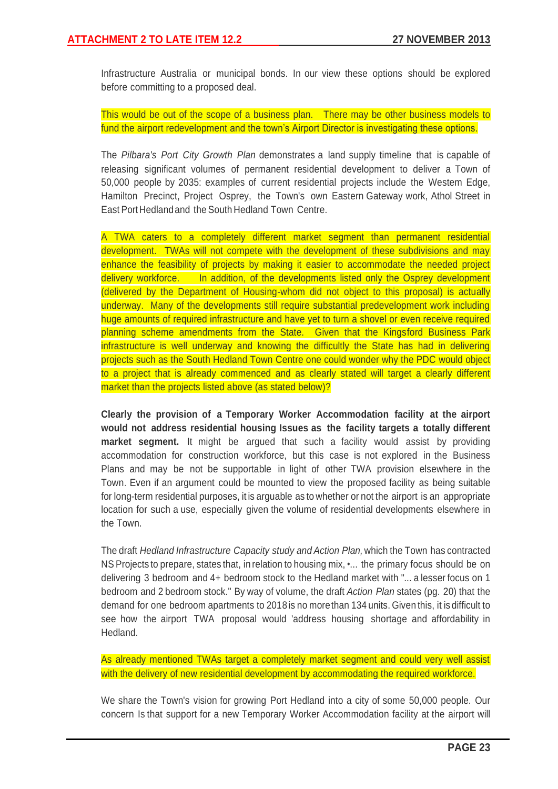Infrastructure Australia or municipal bonds. In our view these options should be explored before committing to a proposed deal.

This would be out of the scope of a business plan. There may be other business models to fund the airport redevelopment and the town's Airport Director is investigating these options.

The *Pilbara's Port City Growth Plan* demonstrates a land supply timeline that is capable of releasing significant volumes of permanent residential development to deliver a Town of 50,000 people by 2035: examples of current residential projects include the Westem Edge, Hamilton Precinct, Project Osprey, the Town's own Eastern Gateway work, Athol Street in East Port Hedlandand the South Hedland Town Centre.

A TWA caters to a completely different market segment than permanent residential development. TWAs will not compete with the development of these subdivisions and may enhance the feasibility of projects by making it easier to accommodate the needed project delivery workforce. In addition, of the developments listed only the Osprey development (delivered by the Department of Housing-whom did not object to this proposal) is actually underway. Many of the developments still require substantial predevelopment work including huge amounts of required infrastructure and have yet to turn a shovel or even receive required planning scheme amendments from the State. Given that the Kingsford Business Park infrastructure is well underway and knowing the difficultly the State has had in delivering projects such as the South Hedland Town Centre one could wonder why the PDC would object to a project that is already commenced and as clearly stated will target a clearly different market than the projects listed above (as stated below)?

**Clearly the provision of a Temporary Worker Accommodation facility at the airport would not address residential housing Issues as the facility targets a totally different market segment.** It might be argued that such a facility would assist by providing accommodation for construction workforce, but this case is not explored in the Business Plans and may be not be supportable in light of other TWA provision elsewhere in the Town. Even if an argument could be mounted to view the proposed facility as being suitable for long-term residential purposes, it is arguable as to whether or not the airport is an appropriate location for such a use, especially given the volume of residential developments elsewhere in the Town.

The draft *Hedland Infrastructure Capacity study and Action Plan,* which the Town has contracted NS Projects to prepare, states that, in relation to housing mix, •... the primary focus should be on delivering 3 bedroom and 4+ bedroom stock to the Hedland market with "... a lesser focus on 1 bedroom and 2 bedroom stock." By way of volume, the draft *Action Plan* states (pg. 20) that the demand for one bedroom apartments to 2018 is no morethan 134 units. Given this, it is difficult to see how the airport TWA proposal would 'address housing shortage and affordability in Hedland.

As already mentioned TWAs target a completely market segment and could very well assist with the delivery of new residential development by accommodating the required workforce.

We share the Town's vision for growing Port Hedland into a city of some 50,000 people. Our concern Is that support for a new Temporary Worker Accommodation facility at the airport will